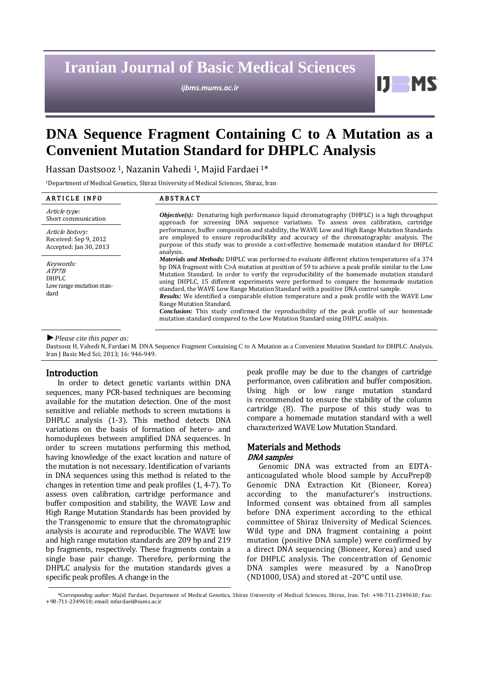# **Iranian Journal of Basic Medical Sciences**

*ijbms.mums.ac.ir*

Ш

## **DNA Sequence Fragment Containing C to A Mutation as a Convenient Mutation Standard for DHPLC Analysis**

Hassan Dastsooz <sup>1</sup>, Nazanin Vahedi <sup>1</sup>, Majid Fardaei <sup>1</sup>\*

<sup>1</sup>Department of Medical Genetics, Shiraz University of Medical Sciences, Shiraz, Iran

| <b>ARTICLE INFO</b>                                                    | <b>ABSTRACT</b>                                                                                                                                                                                                                                                                                                                                                                                                                                                                                                                                                                                                                                                                                                                                                                                         |  |  |  |  |
|------------------------------------------------------------------------|---------------------------------------------------------------------------------------------------------------------------------------------------------------------------------------------------------------------------------------------------------------------------------------------------------------------------------------------------------------------------------------------------------------------------------------------------------------------------------------------------------------------------------------------------------------------------------------------------------------------------------------------------------------------------------------------------------------------------------------------------------------------------------------------------------|--|--|--|--|
| Article type:<br>Short communication                                   | <b><i>Objective(s)</i></b> : Denaturing high performance liquid chromatography (DHPLC) is a high throughput<br>approach for screening DNA sequence variations. To assess oven calibration, cartridge                                                                                                                                                                                                                                                                                                                                                                                                                                                                                                                                                                                                    |  |  |  |  |
| Article history:<br>Received: Sep 9, 2012<br>Accepted: Jan 30, 2013    | performance, buffer composition and stability, the WAVE Low and High Range Mutation Standards<br>are employed to ensure reproducibility and accuracy of the chromatographic analysis. The<br>purpose of this study was to provide a cost-effective homemade mutation standard for DHPLC<br>analysis.                                                                                                                                                                                                                                                                                                                                                                                                                                                                                                    |  |  |  |  |
| Keywords:<br><i>ATP7B</i><br>DHPLC<br>Low range mutation stan-<br>dard | Materials and Methods: DHPLC was performed to evaluate different elution temperatures of a 374<br>bp DNA fragment with C>A mutation at position of 59 to achieve a peak profile similar to the Low<br>Mutation Standard. In order to verify the reproducibility of the homemade mutation standard<br>using DHPLC, 15 different experiments were performed to compare the homemade mutation<br>standard, the WAVE Low Range Mutation Standard with a positive DNA control sample.<br><b>Results:</b> We identified a comparable elution temperature and a peak profile with the WAVE Low<br>Range Mutation Standard.<br><b>Conclusion:</b> This study confirmed the reproducibility of the peak profile of our homemade<br>mutation standard compared to the Low Mutation Standard using DHPLC analysis. |  |  |  |  |

*►Please cite this paper as:*

Dastsooz H, Vahedi N, Fardaei M. DNA Sequence Fragment Containing C to A Mutation as a Convenient Mutation Standard for DHPLC Analysis. Iran J Basic Med Sci; 2013; 16: 946-949.

## Introduction

In order to detect genetic variants within DNA sequences, many PCR-based techniques are becoming available for the mutation detection. One of the most sensitive and reliable methods to screen mutations is DHPLC analysis (1-3). This method detects DNA variations on the basis of formation of hetero- and homoduplexes between amplified DNA sequences. In order to screen mutations performing this method, having knowledge of the exact location and nature of the mutation is not necessary. Identification of variants in DNA sequences using this method is related to the changes in retention time and peak profiles (1, 4-7). To assess oven calibration, cartridge performance and buffer composition and stability, the WAVE Low and High Range Mutation Standards has been provided by the Transgenomic to ensure that the chromatographic analysis is accurate and reproducible. The WAVE low and high range mutation standards are 209 bp and 219 bp fragments, respectively. These fragments contain a single base pair change. Therefore, performing the DHPLC analysis for the mutation standards gives a specific peak profiles. A change in the

peak profile may be due to the changes of cartridge performance, oven calibration and buffer composition. Using high or low range mutation standard is recommended to ensure the stability of the column cartridge (8). The purpose of this study was to compare a homemade mutation standard with a well characterized WAVE Low Mutation Standard.

## Materials and Methods DNA samples

Genomic DNA was extracted from an EDTAanticoagulated whole blood sample by AccuPrep® Genomic DNA Extraction Kit (Bioneer, Korea) according to the manufacturer's instructions. Informed consent was obtained from all samples before DNA experiment according to the ethical committee of Shiraz University of Medical Sciences. Wild type and DNA fragment containing a point mutation (positive DNA sample) were confirmed by a direct DNA sequencing (Bioneer, Korea) and used for DHPLC analysis. The concentration of Genomic DNA samples were measured by a NanoDrop (ND1000, USA) and stored at -20°C until use.

*<sup>\*</sup>Corresponding author:* Majid Fardaei. Department of Medical Genetics, Shiraz University of Medical Sciences, Shiraz, Iran. Tel: +98-711-2349610; Fax: +98-711-2349610; email: mfardaei@sums.ac.ir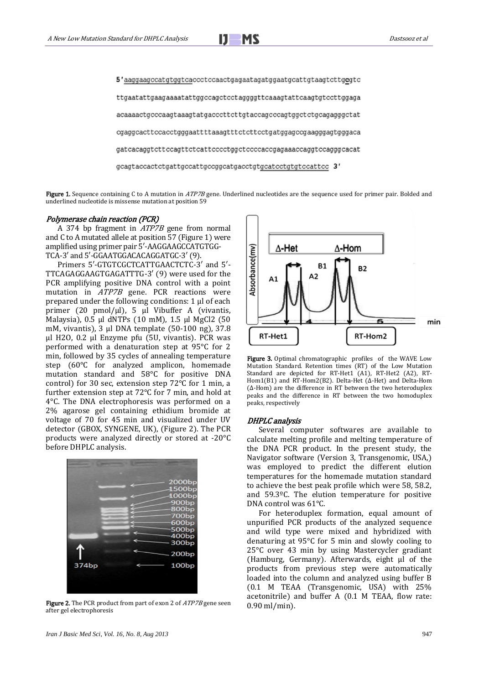

5'aaggaagccatgtggtcaccctccaactgagaatagatggaatgcattgtaagtcttgcgtc ttgaatattgaagaaaatattggccagctcctaggggttcaaagtattcaagtgtccttggaga acaaaactgcccaagtaaagtatgacccttcttgtaccagcccagtggctctgcagagggctat cgaggcacttccacctgggaattttaaagtttctcttcctgatggagccgaagggagtgggaca gatcacaggtcttccagttctcattcccctggctccccaccgagaaaccaggtccagggcacat gcagtaccactctgattgccattgccggcatgacctgtgcatcctgtgtccattcc 3'

Figure 1. Sequence containing C to A mutation in ATP7B gene. Underlined nucleotides are the sequence used for primer pair. Bolded and underlined nucleotide is missense mutation at position 59

## Polymerase chain reaction (PCR)

A 374 bp fragment in ATP7B gene from normal and C to A mutated allele at position 57 (Figure 1) were amplified using primer pair 5′-AAGGAAGCCATGTGG-TCA-3′ and 5′-GGAATGGACACAGGATGC-3′ (9).

Primers 5′-GTGTCGCTCATTGAACTCTC-3′ and 5′- TTCAGAGGAAGTGAGATTTG-3′ (9) were used for the PCR amplifying positive DNA control with a point mutation in ATP7B gene. PCR reactions were prepared under the following conditions: 1 µl of each primer (20 pmol/µl), 5 µl Vibuffer A (vivantis, Malaysia), 0.5 µl dNTPs (10 mM), 1.5 µl MgCl2 (50 mM, vivantis), 3 µl DNA template (50-100 ng), 37.8 µl H2O, 0.2 µl Enzyme pfu (5U, vivantis). PCR was performed with a denaturation step at 95°C for 2 min, followed by 35 cycles of annealing temperature step (60°C for analyzed amplicon, homemade mutation standard and 58°C for positive DNA control) for 30 sec, extension step 72°C for 1 min, a further extension step at 72°C for 7 min, and hold at 4°C. The DNA electrophoresis was performed on a 2% agarose gel containing ethidium bromide at voltage of 70 for 45 min and visualized under UV detector (GBOX, SYNGENE, UK), (Figure 2). The PCR products were analyzed directly or stored at -20°C before DHPLC analysis.



Figure 2. The PCR product from part of exon 2 of  $ATP7B$  gene seen after gel electrophoresis



Figure 3. Optimal chromatographic profiles of the WAVE Low Mutation Standard. Retention times (RT) of the Low Mutation Standard are depicted for RT-Het1 (A1), RT-Het2 (A2), RT-Hom1(B1) and RT-Hom2(B2). Delta-Het (∆-Het) and Delta-Hom (∆-Hom) are the difference in RT between the two heteroduplex peaks and the difference in RT between the two homoduplex peaks, respectively

#### DHPLC analysis

Several computer softwares are available to calculate melting profile and melting temperature of the DNA PCR product. In the present study, the Navigator software (Version 3, Transgenomic, USA,) was employed to predict the different elution temperatures for the homemade mutation standard to achieve the best peak profile which were 58, 58.2, and 59.3ºC. The elution temperature for positive DNA control was 61°C.

For heteroduplex formation, equal amount of unpurified PCR products of the analyzed sequence and wild type were mixed and hybridized with denaturing at 95°C for 5 min and slowly cooling to 25°C over 43 min by using Mastercycler gradiant (Hamburg, Germany). Afterwards, eight µl of the products from previous step were automatically loaded into the column and analyzed using buffer B (0.1 M TEAA (Transgenomic, USA) with 25% acetonitrile) and buffer A (0.1 M TEAA, flow rate: 0.90 ml/min).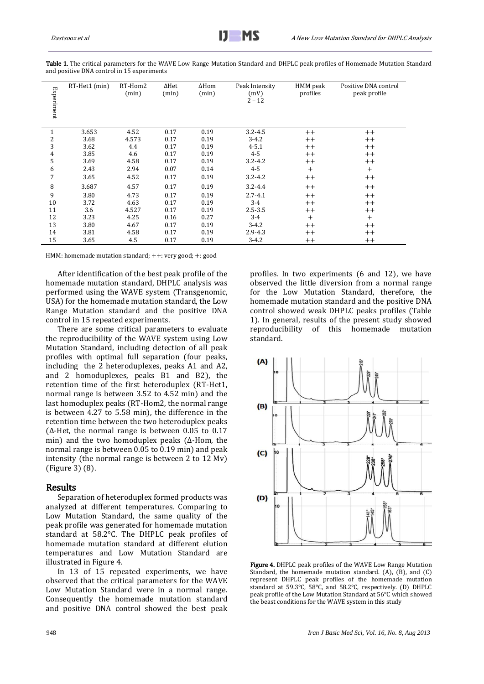| Experiment     | RT-Het1 (min)                                                                                                                                                                                                                                                                                                                                                                                                                                                                                                                                                                                                                                                                                                                                                                                                                                                                                                                                                                                                                                                                                                                                                                                                                                                        | RT-Hom2<br>(min) | $\Delta \text{Het}% \left( \mathcal{N}\right) =\left( \mathcal{N}\right) ^{\ast }\left( \mathcal{N}\right)$<br>(min) | $\Delta$ Hom<br>(min) | Peak Intensity<br>(mV)<br>$2 - 12$ | HMM peak<br>profiles | Positive DNA control<br>peak profile                                                                                                                                                                                                                                                                                                       |
|----------------|----------------------------------------------------------------------------------------------------------------------------------------------------------------------------------------------------------------------------------------------------------------------------------------------------------------------------------------------------------------------------------------------------------------------------------------------------------------------------------------------------------------------------------------------------------------------------------------------------------------------------------------------------------------------------------------------------------------------------------------------------------------------------------------------------------------------------------------------------------------------------------------------------------------------------------------------------------------------------------------------------------------------------------------------------------------------------------------------------------------------------------------------------------------------------------------------------------------------------------------------------------------------|------------------|----------------------------------------------------------------------------------------------------------------------|-----------------------|------------------------------------|----------------------|--------------------------------------------------------------------------------------------------------------------------------------------------------------------------------------------------------------------------------------------------------------------------------------------------------------------------------------------|
|                |                                                                                                                                                                                                                                                                                                                                                                                                                                                                                                                                                                                                                                                                                                                                                                                                                                                                                                                                                                                                                                                                                                                                                                                                                                                                      |                  |                                                                                                                      |                       |                                    |                      |                                                                                                                                                                                                                                                                                                                                            |
| $\,1\,$        | 3.653                                                                                                                                                                                                                                                                                                                                                                                                                                                                                                                                                                                                                                                                                                                                                                                                                                                                                                                                                                                                                                                                                                                                                                                                                                                                | 4.52             | 0.17                                                                                                                 | 0.19                  | $3.2 - 4.5$                        | $^{++}$              | $^{++}$                                                                                                                                                                                                                                                                                                                                    |
| $\sqrt{2}$     | 3.68                                                                                                                                                                                                                                                                                                                                                                                                                                                                                                                                                                                                                                                                                                                                                                                                                                                                                                                                                                                                                                                                                                                                                                                                                                                                 | 4.573            | 0.17                                                                                                                 | 0.19                  | $3 - 4.2$                          | $^{++}$              | $^{++}$                                                                                                                                                                                                                                                                                                                                    |
| 3              | 3.62                                                                                                                                                                                                                                                                                                                                                                                                                                                                                                                                                                                                                                                                                                                                                                                                                                                                                                                                                                                                                                                                                                                                                                                                                                                                 | 4.4              | 0.17                                                                                                                 | 0.19                  | $4 - 5.1$                          | $^{++}$              | $^{++}$                                                                                                                                                                                                                                                                                                                                    |
| 4              | 3.85                                                                                                                                                                                                                                                                                                                                                                                                                                                                                                                                                                                                                                                                                                                                                                                                                                                                                                                                                                                                                                                                                                                                                                                                                                                                 | 4.6              | 0.17                                                                                                                 | 0.19                  | $4 - 5$                            | $^{++}$              | $^{++}$                                                                                                                                                                                                                                                                                                                                    |
| 5              | 3.69                                                                                                                                                                                                                                                                                                                                                                                                                                                                                                                                                                                                                                                                                                                                                                                                                                                                                                                                                                                                                                                                                                                                                                                                                                                                 | 4.58             | 0.17                                                                                                                 | 0.19                  | $3.2 - 4.2$                        | $^{++}$              | $^{++}$                                                                                                                                                                                                                                                                                                                                    |
| 6              | 2.43                                                                                                                                                                                                                                                                                                                                                                                                                                                                                                                                                                                                                                                                                                                                                                                                                                                                                                                                                                                                                                                                                                                                                                                                                                                                 | 2.94             | 0.07                                                                                                                 | 0.14                  | $4 - 5$                            | $+$                  | $^{+}$                                                                                                                                                                                                                                                                                                                                     |
| 7              | 3.65                                                                                                                                                                                                                                                                                                                                                                                                                                                                                                                                                                                                                                                                                                                                                                                                                                                                                                                                                                                                                                                                                                                                                                                                                                                                 | 4.52             | 0.17                                                                                                                 | 0.19                  | $3.2 - 4.2$                        | $^{++}$              | $^{++}$                                                                                                                                                                                                                                                                                                                                    |
| 8              | 3.687                                                                                                                                                                                                                                                                                                                                                                                                                                                                                                                                                                                                                                                                                                                                                                                                                                                                                                                                                                                                                                                                                                                                                                                                                                                                | 4.57             | 0.17                                                                                                                 | 0.19                  | $3.2 - 4.4$                        | $^{++}$              | $^{++}$                                                                                                                                                                                                                                                                                                                                    |
| 9              | 3.80                                                                                                                                                                                                                                                                                                                                                                                                                                                                                                                                                                                                                                                                                                                                                                                                                                                                                                                                                                                                                                                                                                                                                                                                                                                                 | 4.73             | 0.17                                                                                                                 | 0.19                  | $2.7 - 4.1$                        | $^{++}$              | $^{++}$                                                                                                                                                                                                                                                                                                                                    |
| 10             | 3.72                                                                                                                                                                                                                                                                                                                                                                                                                                                                                                                                                                                                                                                                                                                                                                                                                                                                                                                                                                                                                                                                                                                                                                                                                                                                 | 4.63             | 0.17                                                                                                                 | 0.19                  | $3 - 4$                            | $^{++}$              | $^{++}$                                                                                                                                                                                                                                                                                                                                    |
| 11             | 3.6                                                                                                                                                                                                                                                                                                                                                                                                                                                                                                                                                                                                                                                                                                                                                                                                                                                                                                                                                                                                                                                                                                                                                                                                                                                                  | 4.527            | 0.17                                                                                                                 | 0.19                  | $2.5 - 3.5$                        | $^{++}$              | $^{++}$                                                                                                                                                                                                                                                                                                                                    |
| 12             | 3.23                                                                                                                                                                                                                                                                                                                                                                                                                                                                                                                                                                                                                                                                                                                                                                                                                                                                                                                                                                                                                                                                                                                                                                                                                                                                 | 4.25             | 0.16                                                                                                                 | 0.27                  | $3 - 4$                            | $^{+}$               | $^{+}$                                                                                                                                                                                                                                                                                                                                     |
| 13             | 3.80                                                                                                                                                                                                                                                                                                                                                                                                                                                                                                                                                                                                                                                                                                                                                                                                                                                                                                                                                                                                                                                                                                                                                                                                                                                                 | 4.67             | 0.17                                                                                                                 | 0.19                  | $3 - 4.2$                          | $^{++}$              | $^{++}$                                                                                                                                                                                                                                                                                                                                    |
| 14             | 3.81                                                                                                                                                                                                                                                                                                                                                                                                                                                                                                                                                                                                                                                                                                                                                                                                                                                                                                                                                                                                                                                                                                                                                                                                                                                                 | 4.58             | 0.17                                                                                                                 | 0.19                  | $2.9 - 4.3$                        | $^{++}$              | $^{++}$                                                                                                                                                                                                                                                                                                                                    |
| 15             | 3.65                                                                                                                                                                                                                                                                                                                                                                                                                                                                                                                                                                                                                                                                                                                                                                                                                                                                                                                                                                                                                                                                                                                                                                                                                                                                 | 4.5              | 0.17                                                                                                                 | 0.19                  | $3 - 4.2$                          | $++$                 | $++$                                                                                                                                                                                                                                                                                                                                       |
| <b>Results</b> | HMM: homemade mutation standard; ++: very good; +: good<br>After identification of the best peak profile of the<br>homemade mutation standard, DHPLC analysis was<br>performed using the WAVE system (Transgenomic,<br>USA) for the homemade mutation standard, the Low<br>Range Mutation standard and the positive DNA<br>control in 15 repeated experiments.<br>There are some critical parameters to evaluate<br>the reproducibility of the WAVE system using Low<br>Mutation Standard, including detection of all peak<br>profiles with optimal full separation (four peaks,<br>including the 2 heteroduplexes, peaks A1 and A2,<br>and 2 homoduplexes, peaks B1 and B2), the<br>retention time of the first heteroduplex (RT-Het1,<br>normal range is between 3.52 to 4.52 min) and the<br>last homoduplex peaks (RT-Hom2, the normal range<br>is between 4.27 to 5.58 min), the difference in the<br>retention time between the two heteroduplex peaks<br>( $\Delta$ -Het, the normal range is between 0.05 to 0.17<br>min) and the two homoduplex peaks ( $\Delta$ -Hom, the<br>normal range is between 0.05 to 0.19 min) and peak<br>intensity (the normal range is between 2 to 12 Mv)<br>(Figure 3) (8).<br>Separation of heteroduplex formed products was |                  |                                                                                                                      |                       | standard.<br>(A)<br>(B)<br>(C)     |                      | profiles. In two experiments (6 and 12), w<br>observed the little diversion from a normal<br>for the Low Mutation Standard, therefor<br>homemade mutation standard and the positiv<br>control showed weak DHPLC peaks profiles<br>1). In general, results of the present study s<br>reproducibility of this homemade<br>m                  |
|                | analyzed at different temperatures. Comparing to<br>Low Mutation Standard, the same quality of the<br>peak profile was generated for homemade mutation<br>standard at 58.2°C. The DHPLC peak profiles of<br>homemade mutation standard at different elution<br>temperatures and Low Mutation Standard are<br>illustrated in Figure 4.<br>In 13 of 15 repeated experiments, we have<br>observed that the critical parameters for the WAVE<br>Low Mutation Standard were in a normal range.<br>Consequently the homemade mutation standard<br>and positive DNA control showed the best peak                                                                                                                                                                                                                                                                                                                                                                                                                                                                                                                                                                                                                                                                            |                  |                                                                                                                      |                       | (D)                                |                      | Figure 4. DHPLC peak profiles of the WAVE Low Range<br>Standard, the homemade mutation standard. (A), (B),<br>represent DHPLC peak profiles of the homemade<br>standard at 59.3°C, 58°C, and 58.2°C, respectively. (D<br>peak profile of the Low Mutation Standard at 56°C which<br>the beast conditions for the WAVE system in this study |

Table 1. The critical parameters for the WAVE Low Range Mutation Standard and DHPLC peak profiles of Homemade Mutation Standard and positive DNA control in 15 experiments

#### Results

profiles. In two experiments (6 and 12), we have observed the little diversion from a normal range for the Low Mutation Standard, therefore, the homemade mutation standard and the positive DNA control showed weak DHPLC peaks profiles (Table 1). In general, results of the present study showed reproducibility of this homemade mutation standard.



Figure 4. DHPLC peak profiles of the WAVE Low Range Mutation Standard, the homemade mutation standard. (A), (B), and (C) represent DHPLC peak profiles of the homemade mutation standard at 59.3°C, 58°C, and 58.2°C, respectively. (D) DHPLC peak profile of the Low Mutation Standard at 56°C which showed the beast conditions for the WAVE system in this study